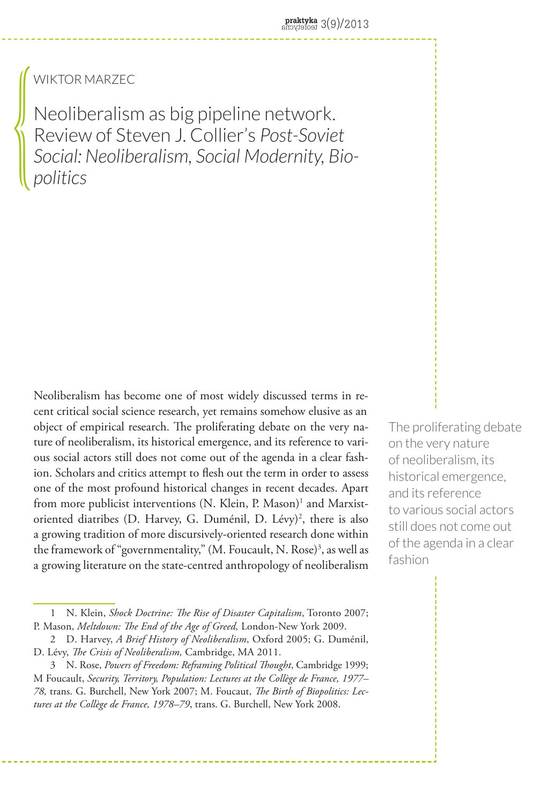## Wiktor Marzec

{<br>\

Neoliberalism as big pipeline network. Review of Steven J. Collier's *Post-Soviet Social: Neoliberalism, Social Modernity, Biopolitics*

Neoliberalism has become one of most widely discussed terms in recent critical social science research, yet remains somehow elusive as an object of empirical research. The proliferating debate on the very nature of neoliberalism, its historical emergence, and its reference to various social actors still does not come out of the agenda in a clear fashion. Scholars and critics attempt to flesh out the term in order to assess one of the most profound historical changes in recent decades. Apart from more publicist interventions (N. Klein, P. Mason)<sup>1</sup> and Marxistoriented diatribes (D. Harvey, G. Duménil, D. Lévy)<sup>2</sup>, there is also a growing tradition of more discursively-oriented research done within the framework of "governmentality," (M. Foucault, N. Rose)<sup>3</sup>, as well as a growing literature on the state-centred anthropology of neoliberalism

The proliferating debate on the very nature of neoliberalism, its historical emergence, and its reference to various social actors still does not come out of the agenda in a clear fashion

<sup>1</sup> N. Klein, *Shock Doctrine: The Rise of Disaster Capitalism*, Toronto 2007; P. Mason, *Meltdown: The End of the Age of Greed,* London-New York 2009.

<sup>2</sup> D. Harvey, *A Brief History of Neoliberalism*, Oxford 2005; G. Duménil, D. Lévy, *The Crisis of Neoliberalism,* Cambridge, MA 2011.

<sup>3</sup> N. Rose, *Powers of Freedom: Reframing Political Thought*, Cambridge 1999; M Foucault, *Security, Territory, Population: Lectures at the Collège de France, 1977– 78,* trans. G. Burchell, New York 2007; M. Foucaut, *The Birth of Biopolitics: Lectures at the Collège de France, 1978–79*, trans. G. Burchell, New York 2008.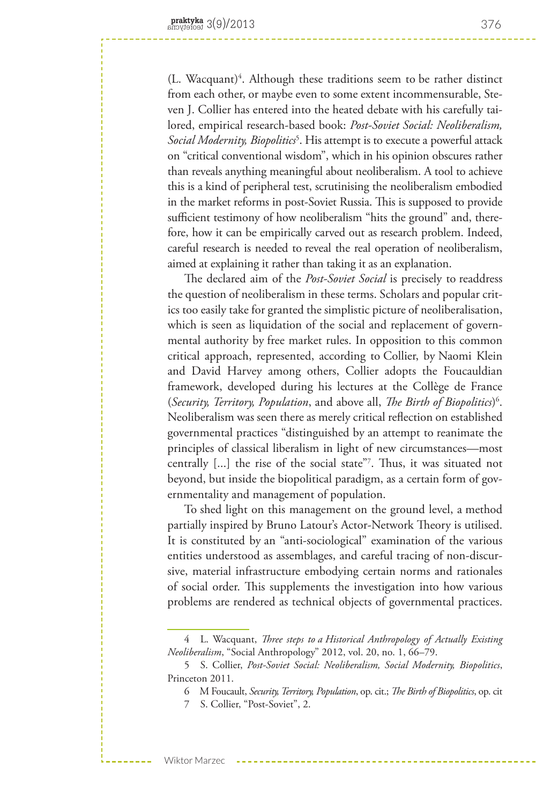(L. Wacquant)<sup>4</sup>. Although these traditions seem to be rather distinct from each other, or maybe even to some extent incommensurable, Steven J. Collier has entered into the heated debate with his carefully tailored, empirical research-based book: *Post-Soviet Social: Neoliberalism, Social Modernity, Biopolitics*<sup>5</sup> . His attempt is to execute a powerful attack on "critical conventional wisdom", which in his opinion obscures rather than reveals anything meaningful about neoliberalism. A tool to achieve this is a kind of peripheral test, scrutinising the neoliberalism embodied in the market reforms in post-Soviet Russia. This is supposed to provide sufficient testimony of how neoliberalism "hits the ground" and, therefore, how it can be empirically carved out as research problem. Indeed, careful research is needed to reveal the real operation of neoliberalism, aimed at explaining it rather than taking it as an explanation.

The declared aim of the *Post-Soviet Social* is precisely to readdress the question of neoliberalism in these terms. Scholars and popular critics too easily take for granted the simplistic picture of neoliberalisation, which is seen as liquidation of the social and replacement of governmental authority by free market rules. In opposition to this common critical approach, represented, according to Collier, by Naomi Klein and David Harvey among others, Collier adopts the Foucauldian framework, developed during his lectures at the Collège de France (*Security, Territory, Population*, and above all, *The Birth of Biopolitics*) 6 . Neoliberalism was seen there as merely critical reflection on established governmental practices "distinguished by an attempt to reanimate the principles of classical liberalism in light of new circumstances—most centrally [...] the rise of the social state"7 . Thus, it was situated not beyond, but inside the biopolitical paradigm, as a certain form of governmentality and management of population.

To shed light on this management on the ground level, a method partially inspired by Bruno Latour's Actor-Network Theory is utilised. It is constituted by an "anti-sociological" examination of the various entities understood as assemblages, and careful tracing of non-discursive, material infrastructure embodying certain norms and rationales of social order. This supplements the investigation into how various problems are rendered as technical objects of governmental practices.

Wiktor Marzec

<sup>4</sup> L. Wacquant, *Three steps to a Historical Anthropology of Actually Existing Neoliberalism*, "Social Anthropology" 2012, vol. 20, no. 1, 66–79.

<sup>5</sup> S. Collier, *Post-Soviet Social: Neoliberalism, Social Modernity, Biopolitics*, Princeton 2011.

<sup>6</sup> M Foucault, *Security, Territory, Population*, op. cit.; *The Birth of Biopolitics*, op. cit

<sup>7</sup> S. Collier, "Post-Soviet", 2.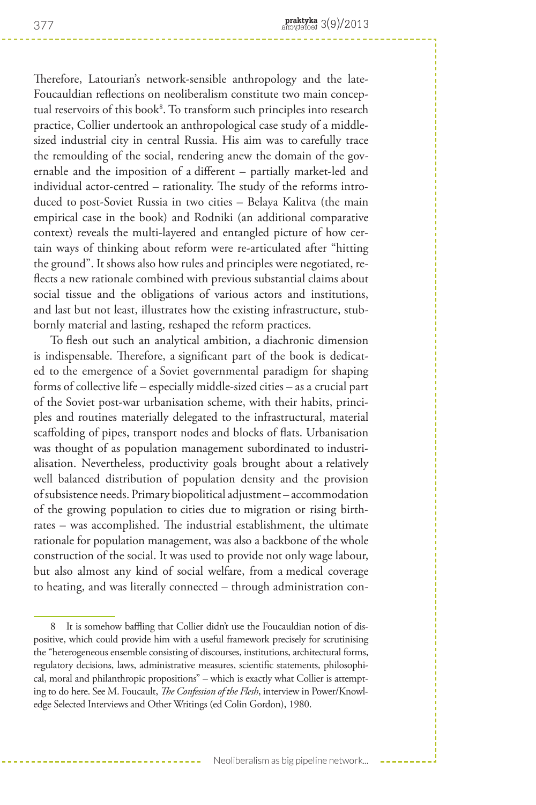Therefore, Latourian's network-sensible anthropology and the late-Foucauldian reflections on neoliberalism constitute two main conceptual reservoirs of this book8 . To transform such principles into research practice, Collier undertook an anthropological case study of a middlesized industrial city in central Russia. His aim was to carefully trace the remoulding of the social, rendering anew the domain of the governable and the imposition of a different – partially market-led and individual actor-centred – rationality. The study of the reforms introduced to post-Soviet Russia in two cities – Belaya Kalitva (the main empirical case in the book) and Rodniki (an additional comparative context) reveals the multi-layered and entangled picture of how certain ways of thinking about reform were re-articulated after "hitting the ground". It shows also how rules and principles were negotiated, reflects a new rationale combined with previous substantial claims about social tissue and the obligations of various actors and institutions, and last but not least, illustrates how the existing infrastructure, stubbornly material and lasting, reshaped the reform practices.

To flesh out such an analytical ambition, a diachronic dimension is indispensable. Therefore, a significant part of the book is dedicated to the emergence of a Soviet governmental paradigm for shaping forms of collective life – especially middle-sized cities – as a crucial part of the Soviet post-war urbanisation scheme, with their habits, principles and routines materially delegated to the infrastructural, material scaffolding of pipes, transport nodes and blocks of flats. Urbanisation was thought of as population management subordinated to industrialisation. Nevertheless, productivity goals brought about a relatively well balanced distribution of population density and the provision of subsistence needs. Primary biopolitical adjustment – accommodation of the growing population to cities due to migration or rising birthrates – was accomplished. The industrial establishment, the ultimate rationale for population management, was also a backbone of the whole construction of the social. It was used to provide not only wage labour, but also almost any kind of social welfare, from a medical coverage to heating, and was literally connected – through administration con-

<sup>8</sup> It is somehow baffling that Collier didn't use the Foucauldian notion of dispositive, which could provide him with a useful framework precisely for scrutinising the "heterogeneous ensemble consisting of discourses, institutions, architectural forms, regulatory decisions, laws, administrative measures, scientific statements, philosophical, moral and philanthropic propositions" – which is exactly what Collier is attempting to do here. See M. Foucault, *The Confession of the Flesh*, interview in Power/Knowledge Selected Interviews and Other Writings (ed Colin Gordon), 1980.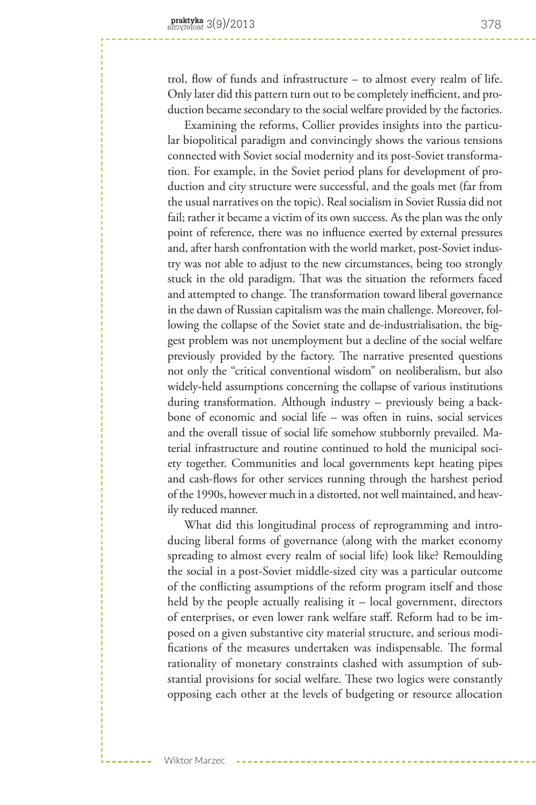trol, flow of funds and infrastructure – to almost every realm of life. Only later did this pattern turn out to be completely inefficient, and production became secondary to the social welfare provided by the factories.

Examining the reforms, Collier provides insights into the particular biopolitical paradigm and convincingly shows the various tensions connected with Soviet social modernity and its post-Soviet transformation. For example, in the Soviet period plans for development of production and city structure were successful, and the goals met (far from the usual narratives on the topic). Real socialism in Soviet Russia did not fail; rather it became a victim of its own success. As the plan was the only point of reference, there was no influence exerted by external pressures and, after harsh confrontation with the world market, post-Soviet industry was not able to adjust to the new circumstances, being too strongly stuck in the old paradigm. That was the situation the reformers faced and attempted to change. The transformation toward liberal governance in the dawn of Russian capitalism was the main challenge. Moreover, following the collapse of the Soviet state and de-industrialisation, the biggest problem was not unemployment but a decline of the social welfare previously provided by the factory. The narrative presented questions not only the "critical conventional wisdom" on neoliberalism, but also widely-held assumptions concerning the collapse of various institutions during transformation. Although industry – previously being a backbone of economic and social life – was often in ruins, social services and the overall tissue of social life somehow stubbornly prevailed. Material infrastructure and routine continued to hold the municipal society together. Communities and local governments kept heating pipes and cash-flows for other services running through the harshest period of the 1990s, however much in a distorted, not well maintained, and heavily reduced manner.

What did this longitudinal process of reprogramming and introducing liberal forms of governance (along with the market economy spreading to almost every realm of social life) look like? Remoulding the social in a post-Soviet middle-sized city was a particular outcome of the conflicting assumptions of the reform program itself and those held by the people actually realising it – local government, directors of enterprises, or even lower rank welfare staff. Reform had to be imposed on a given substantive city material structure, and serious modifications of the measures undertaken was indispensable. The formal rationality of monetary constraints clashed with assumption of substantial provisions for social welfare. These two logics were constantly opposing each other at the levels of budgeting or resource allocation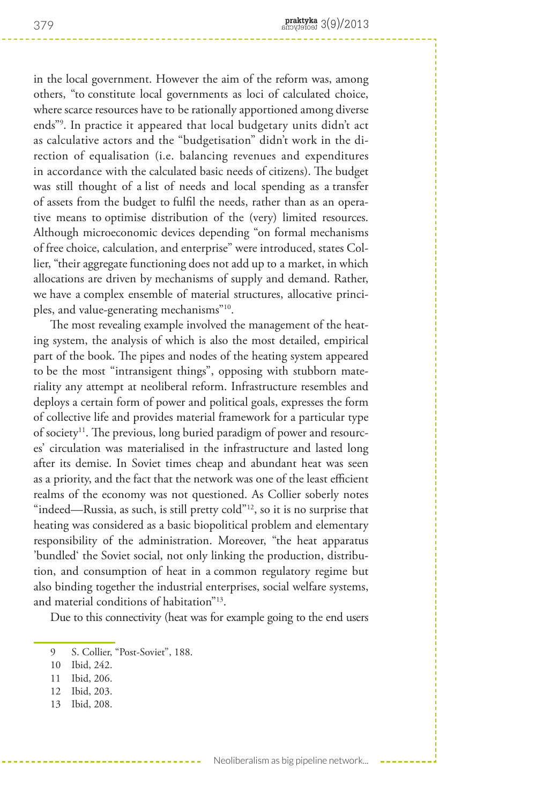in the local government. However the aim of the reform was, among others, "to constitute local governments as loci of calculated choice, where scarce resources have to be rationally apportioned among diverse ends"9 . In practice it appeared that local budgetary units didn't act as calculative actors and the "budgetisation" didn't work in the direction of equalisation (i.e. balancing revenues and expenditures in accordance with the calculated basic needs of citizens). The budget was still thought of a list of needs and local spending as a transfer of assets from the budget to fulfil the needs, rather than as an operative means to optimise distribution of the (very) limited resources. Although microeconomic devices depending "on formal mechanisms of free choice, calculation, and enterprise" were introduced, states Collier, "their aggregate functioning does not add up to a market, in which allocations are driven by mechanisms of supply and demand. Rather, we have a complex ensemble of material structures, allocative principles, and value-generating mechanisms"10.

The most revealing example involved the management of the heating system, the analysis of which is also the most detailed, empirical part of the book. The pipes and nodes of the heating system appeared to be the most "intransigent things", opposing with stubborn materiality any attempt at neoliberal reform. Infrastructure resembles and deploys a certain form of power and political goals, expresses the form of collective life and provides material framework for a particular type of society<sup>11</sup>. The previous, long buried paradigm of power and resources' circulation was materialised in the infrastructure and lasted long after its demise. In Soviet times cheap and abundant heat was seen as a priority, and the fact that the network was one of the least efficient realms of the economy was not questioned. As Collier soberly notes "indeed—Russia, as such, is still pretty cold"<sup>12</sup>, so it is no surprise that heating was considered as a basic biopolitical problem and elementary responsibility of the administration. Moreover, "the heat apparatus 'bundled' the Soviet social, not only linking the production, distribution, and consumption of heat in a common regulatory regime but also binding together the industrial enterprises, social welfare systems, and material conditions of habitation"13.

Due to this connectivity (heat was for example going to the end users

- 11 Ibid, 206.
- 12 Ibid, 203.
- 13 Ibid, 208.

<sup>9</sup> S. Collier, "Post-Soviet", 188.

<sup>10</sup> Ibid, 242.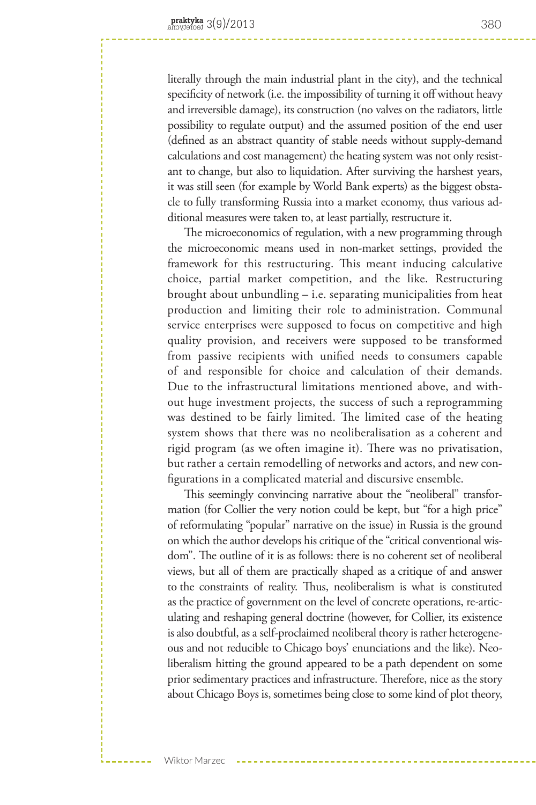literally through the main industrial plant in the city), and the technical specificity of network (i.e. the impossibility of turning it off without heavy and irreversible damage), its construction (no valves on the radiators, little possibility to regulate output) and the assumed position of the end user (defined as an abstract quantity of stable needs without supply-demand calculations and cost management) the heating system was not only resistant to change, but also to liquidation. After surviving the harshest years, it was still seen (for example by World Bank experts) as the biggest obstacle to fully transforming Russia into a market economy, thus various additional measures were taken to, at least partially, restructure it.

The microeconomics of regulation, with a new programming through the microeconomic means used in non-market settings, provided the framework for this restructuring. This meant inducing calculative choice, partial market competition, and the like. Restructuring brought about unbundling – i.e. separating municipalities from heat production and limiting their role to administration. Communal service enterprises were supposed to focus on competitive and high quality provision, and receivers were supposed to be transformed from passive recipients with unified needs to consumers capable of and responsible for choice and calculation of their demands. Due to the infrastructural limitations mentioned above, and without huge investment projects, the success of such a reprogramming was destined to be fairly limited. The limited case of the heating system shows that there was no neoliberalisation as a coherent and rigid program (as we often imagine it). There was no privatisation, but rather a certain remodelling of networks and actors, and new configurations in a complicated material and discursive ensemble.

This seemingly convincing narrative about the "neoliberal" transformation (for Collier the very notion could be kept, but "for a high price" of reformulating "popular" narrative on the issue) in Russia is the ground on which the author develops his critique of the "critical conventional wisdom". The outline of it is as follows: there is no coherent set of neoliberal views, but all of them are practically shaped as a critique of and answer to the constraints of reality. Thus, neoliberalism is what is constituted as the practice of government on the level of concrete operations, re-articulating and reshaping general doctrine (however, for Collier, its existence is also doubtful, as a self-proclaimed neoliberal theory is rather heterogeneous and not reducible to Chicago boys' enunciations and the like). Neoliberalism hitting the ground appeared to be a path dependent on some prior sedimentary practices and infrastructure. Therefore, nice as the story about Chicago Boys is, sometimes being close to some kind of plot theory,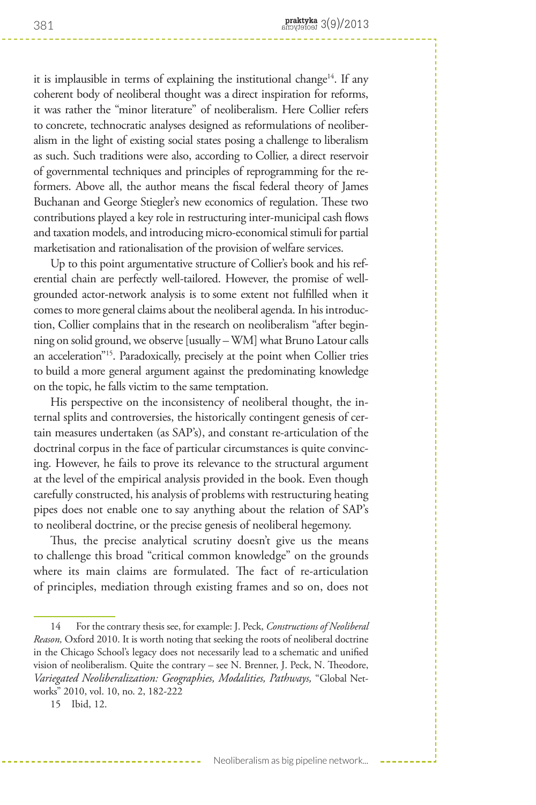it is implausible in terms of explaining the institutional change<sup>14</sup>. If any coherent body of neoliberal thought was a direct inspiration for reforms, it was rather the "minor literature" of neoliberalism. Here Collier refers to concrete, technocratic analyses designed as reformulations of neoliberalism in the light of existing social states posing a challenge to liberalism as such. Such traditions were also, according to Collier, a direct reservoir of governmental techniques and principles of reprogramming for the reformers. Above all, the author means the fiscal federal theory of James Buchanan and George Stiegler's new economics of regulation. These two contributions played a key role in restructuring inter-municipal cash flows and taxation models, and introducing micro-economical stimuli for partial marketisation and rationalisation of the provision of welfare services.

Up to this point argumentative structure of Collier's book and his referential chain are perfectly well-tailored. However, the promise of wellgrounded actor-network analysis is to some extent not fulfilled when it comes to more general claims about the neoliberal agenda. In his introduction, Collier complains that in the research on neoliberalism "after beginning on solid ground, we observe [usually – WM] what Bruno Latour calls an acceleration"15. Paradoxically, precisely at the point when Collier tries to build a more general argument against the predominating knowledge on the topic, he falls victim to the same temptation.

His perspective on the inconsistency of neoliberal thought, the internal splits and controversies, the historically contingent genesis of certain measures undertaken (as SAP's), and constant re-articulation of the doctrinal corpus in the face of particular circumstances is quite convincing. However, he fails to prove its relevance to the structural argument at the level of the empirical analysis provided in the book. Even though carefully constructed, his analysis of problems with restructuring heating pipes does not enable one to say anything about the relation of SAP's to neoliberal doctrine, or the precise genesis of neoliberal hegemony.

Thus, the precise analytical scrutiny doesn't give us the means to challenge this broad "critical common knowledge" on the grounds where its main claims are formulated. The fact of re-articulation of principles, mediation through existing frames and so on, does not

## Neoliberalism as big pipeline network...

<sup>14</sup> For the contrary thesis see, for example: J. Peck, *Constructions of Neoliberal Reason,* Oxford 2010. It is worth noting that seeking the roots of neoliberal doctrine in the Chicago School's legacy does not necessarily lead to a schematic and unified vision of neoliberalism. Quite the contrary – see N. Brenner, J. Peck, N. Theodore, *Variegated Neoliberalization: Geographies, Modalities, Pathways,* "Global Networks" 2010, vol. 10, no. 2, 182-222

<sup>15</sup> Ibid, 12.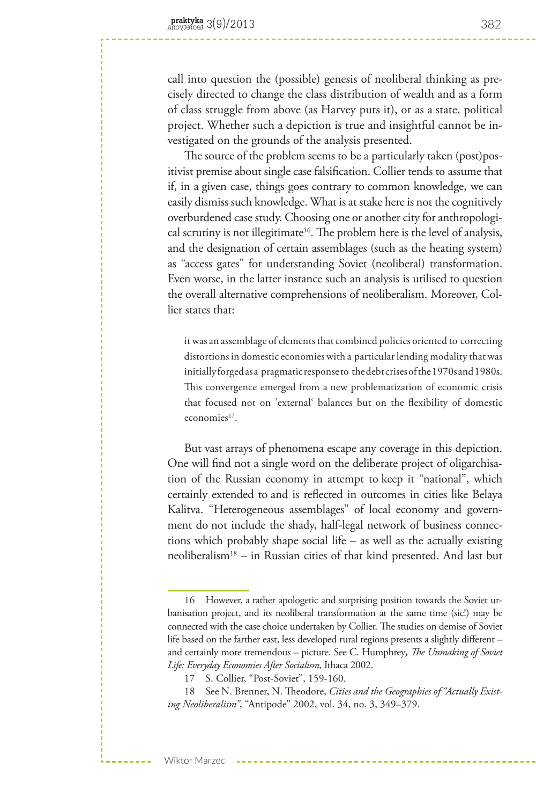call into question the (possible) genesis of neoliberal thinking as precisely directed to change the class distribution of wealth and as a form of class struggle from above (as Harvey puts it), or as a state, political project. Whether such a depiction is true and insightful cannot be investigated on the grounds of the analysis presented.

The source of the problem seems to be a particularly taken (post)positivist premise about single case falsification. Collier tends to assume that if, in a given case, things goes contrary to common knowledge, we can easily dismiss such knowledge. What is at stake here is not the cognitively overburdened case study. Choosing one or another city for anthropological scrutiny is not illegitimate<sup>16</sup>. The problem here is the level of analysis, and the designation of certain assemblages (such as the heating system) as "access gates" for understanding Soviet (neoliberal) transformation. Even worse, in the latter instance such an analysis is utilised to question the overall alternative comprehensions of neoliberalism. Moreover, Collier states that:

it was an assemblage of elements that combined policies oriented to correcting distortions in domestic economies with a particular lending modality that was initially forged as a pragmatic response to the debt crises of the 1970s and 1980s. This convergence emerged from a new problematization of economic crisis that focused not on 'external' balances but on the flexibility of domestic  $e$ conomies<sup>17</sup>.

But vast arrays of phenomena escape any coverage in this depiction. One will find not a single word on the deliberate project of oligarchisation of the Russian economy in attempt to keep it "national", which certainly extended to and is reflected in outcomes in cities like Belaya Kalitva. "Heterogeneous assemblages" of local economy and government do not include the shady, half-legal network of business connections which probably shape social life – as well as the actually existing neoliberalism18 – in Russian cities of that kind presented. And last but

See N. Brenner, N. Theodore, *Cities and the Geographies of "Actually Existing Neoliberalism"*, "Antipode" 2002, vol. 34, no. 3, 349–379.

Wiktor Marzec

<sup>16</sup> However, a rather apologetic and surprising position towards the Soviet urbanisation project, and its neoliberal transformation at the same time (sic!) may be connected with the case choice undertaken by Collier. The studies on demise of Soviet life based on the farther east, less developed rural regions presents a slightly different – and certainly more tremendous – picture. See C. Humphrey*, The Unmaking of Soviet Life: Everyday Economies After Socialism,* Ithaca 2002.

<sup>17</sup> S. Collier, "Post-Soviet", 159-160.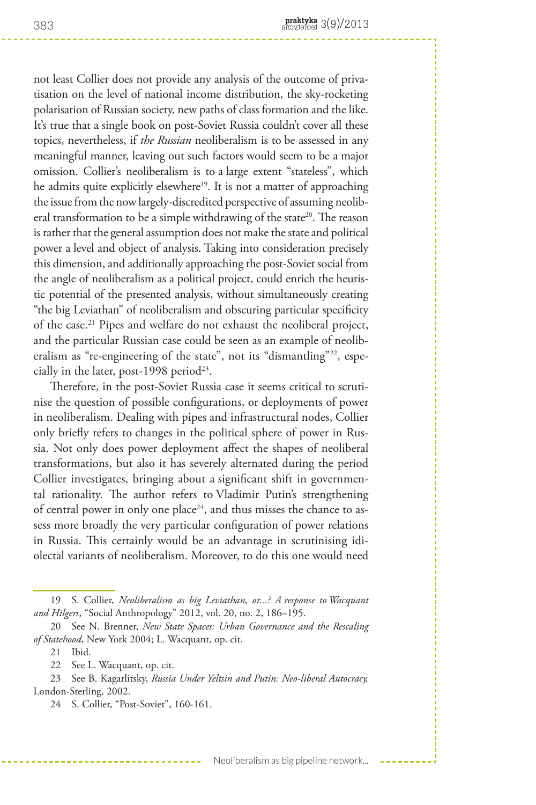not least Collier does not provide any analysis of the outcome of privatisation on the level of national income distribution, the sky-rocketing polarisation of Russian society, new paths of class formation and the like. It's true that a single book on post-Soviet Russia couldn't cover all these topics, nevertheless, if *the Russian* neoliberalism is to be assessed in any meaningful manner, leaving out such factors would seem to be a major omission. Collier's neoliberalism is to a large extent "stateless", which he admits quite explicitly elsewhere<sup>19</sup>. It is not a matter of approaching the issue from the now largely-discredited perspective of assuming neoliberal transformation to be a simple withdrawing of the state<sup>20</sup>. The reason is rather that the general assumption does not make the state and political power a level and object of analysis. Taking into consideration precisely this dimension, and additionally approaching the post-Soviet social from the angle of neoliberalism as a political project, could enrich the heuristic potential of the presented analysis, without simultaneously creating "the big Leviathan" of neoliberalism and obscuring particular specificity of the case.<sup>21</sup> Pipes and welfare do not exhaust the neoliberal project, and the particular Russian case could be seen as an example of neoliberalism as "re-engineering of the state", not its "dismantling"<sup>22</sup>, especially in the later, post-1998 period<sup>23</sup>.

Therefore, in the post-Soviet Russia case it seems critical to scrutinise the question of possible configurations, or deployments of power in neoliberalism. Dealing with pipes and infrastructural nodes, Collier only briefly refers to changes in the political sphere of power in Russia. Not only does power deployment affect the shapes of neoliberal transformations, but also it has severely alternated during the period Collier investigates, bringing about a significant shift in governmental rationality. The author refers to Vladimir Putin's strengthening of central power in only one place<sup>24</sup>, and thus misses the chance to assess more broadly the very particular configuration of power relations in Russia. This certainly would be an advantage in scrutinising idiolectal variants of neoliberalism. Moreover, to do this one would need

<sup>19</sup> S. Collier, *Neoliberalism as big Leviathan, or...? A response to Wacquant and Hilgers*, "Social Anthropology" 2012, vol. 20, no. 2, 186–195.

<sup>20</sup> See N. Brenner, *New State Spaces: Urban Governance and the Rescaling of Statehood*, New York 2004; L. Wacquant, op. cit.

<sup>21</sup> Ibid.

<sup>22</sup> See L. Wacquant, op. cit.

<sup>23</sup> See B. Kagarlitsky, *Russia Under Yeltsin and Putin: Neo-liberal Autocracy,*  London-Sterling, 2002.

<sup>24</sup> S. Collier, "Post-Soviet", 160-161.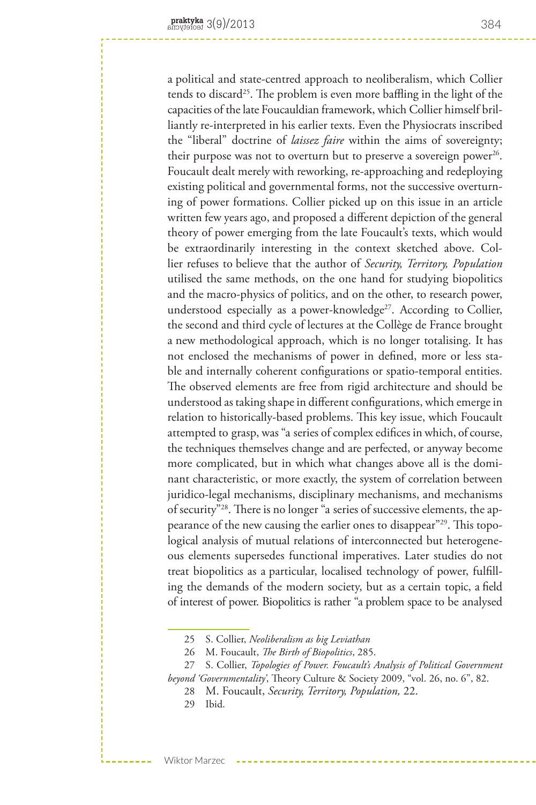a political and state-centred approach to neoliberalism, which Collier tends to discard<sup>25</sup>. The problem is even more baffling in the light of the capacities of the late Foucauldian framework, which Collier himself brilliantly re-interpreted in his earlier texts. Even the Physiocrats inscribed the "liberal" doctrine of *laissez faire* within the aims of sovereignty; their purpose was not to overturn but to preserve a sovereign power<sup>26</sup>. Foucault dealt merely with reworking, re-approaching and redeploying existing political and governmental forms, not the successive overturning of power formations. Collier picked up on this issue in an article written few years ago, and proposed a different depiction of the general theory of power emerging from the late Foucault's texts, which would be extraordinarily interesting in the context sketched above. Collier refuses to believe that the author of *Security, Territory, Population* utilised the same methods, on the one hand for studying biopolitics and the macro-physics of politics, and on the other, to research power, understood especially as a power-knowledge<sup>27</sup>. According to Collier, the second and third cycle of lectures at the Collège de France brought a new methodological approach, which is no longer totalising. It has not enclosed the mechanisms of power in defined, more or less stable and internally coherent configurations or spatio-temporal entities. The observed elements are free from rigid architecture and should be understood as taking shape in different configurations, which emerge in relation to historically-based problems. This key issue, which Foucault attempted to grasp, was "a series of complex edifices in which, of course, the techniques themselves change and are perfected, or anyway become more complicated, but in which what changes above all is the dominant characteristic, or more exactly, the system of correlation between juridico-legal mechanisms, disciplinary mechanisms, and mechanisms of security"28. There is no longer "a series of successive elements, the appearance of the new causing the earlier ones to disappear"<sup>29</sup>. This topological analysis of mutual relations of interconnected but heterogeneous elements supersedes functional imperatives. Later studies do not treat biopolitics as a particular, localised technology of power, fulfilling the demands of the modern society, but as a certain topic, a field of interest of power. Biopolitics is rather "a problem space to be analysed

- 28 M. Foucault, *Security, Territory, Population,* 22.
- 29 Ibid.

<sup>25</sup> S. Collier, *Neoliberalism as big Leviathan*

<sup>26</sup> M. Foucault, *The Birth of Biopolitics*, 285.

<sup>27</sup> S. Collier, *Topologies of Power. Foucault's Analysis of Political Government beyond 'Governmentality'*, Theory Culture & Society 2009, "vol. 26, no. 6", 82.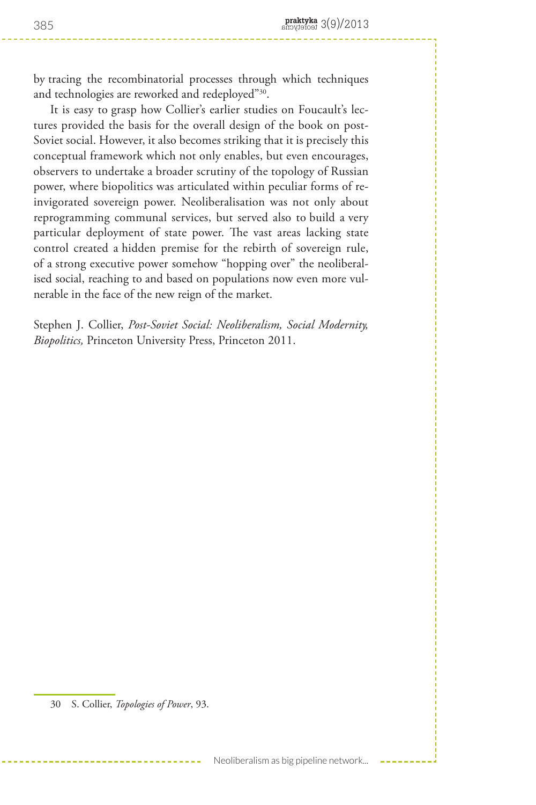by tracing the recombinatorial processes through which techniques and technologies are reworked and redeployed"30.

It is easy to grasp how Collier's earlier studies on Foucault's lectures provided the basis for the overall design of the book on post-Soviet social. However, it also becomes striking that it is precisely this conceptual framework which not only enables, but even encourages, observers to undertake a broader scrutiny of the topology of Russian power, where biopolitics was articulated within peculiar forms of reinvigorated sovereign power. Neoliberalisation was not only about reprogramming communal services, but served also to build a very particular deployment of state power. The vast areas lacking state control created a hidden premise for the rebirth of sovereign rule, of a strong executive power somehow "hopping over" the neoliberalised social, reaching to and based on populations now even more vulnerable in the face of the new reign of the market.

Stephen J. Collier, *Post-Soviet Social: Neoliberalism, Social Modernity, Biopolitics,* Princeton University Press, Princeton 2011.

<sup>30</sup> S. Collier, *Topologies of Power*, 93.